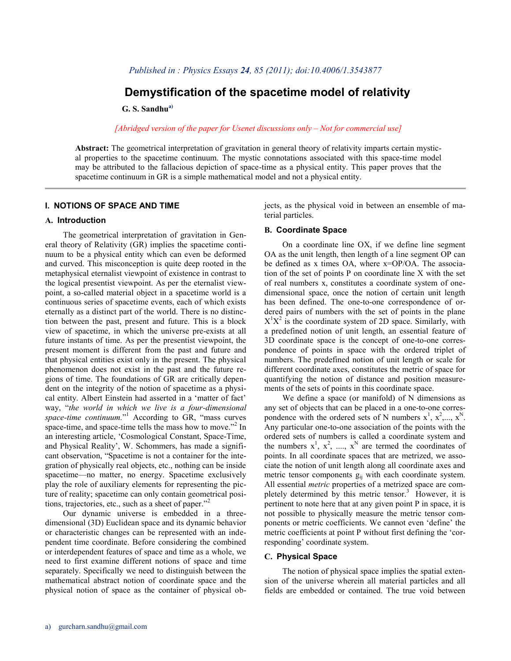# **Demystification of the spacetime model of relativity**

 **G. S. Sandhua)**

*[Abridged version of the paper for Usenet discussions only – Not for commercial use]*

**Abstract:** The geometrical interpretation of gravitation in general theory of relativity imparts certain mystical properties to the spacetime continuum. The mystic connotations associated with this space-time model may be attributed to the fallacious depiction of space-time as a physical entity. This paper proves that the spacetime continuum in GR is a simple mathematical model and not a physical entity.

### **I. NOTIONS OF SPACE AND TIME**

#### **A. Introduction**

The geometrical interpretation of gravitation in General theory of Relativity (GR) implies the spacetime continuum to be a physical entity which can even be deformed and curved. This misconception is quite deep rooted in the metaphysical eternalist viewpoint of existence in contrast to the logical presentist viewpoint. As per the eternalist viewpoint, a so-called material object in a spacetime world is a continuous series of spacetime events, each of which exists eternally as a distinct part of the world. There is no distinction between the past, present and future. This is a block view of spacetime, in which the universe pre-exists at all future instants of time. As per the presentist viewpoint, the present moment is different from the past and future and that physical entities exist only in the present. The physical phenomenon does not exist in the past and the future regions of time. The foundations of GR are critically dependent on the integrity of the notion of spacetime as a physical entity. Albert Einstein had asserted in a 'matter of fact' way, "the world in which we live is a four-dimensional space-time continuum."<sup>1</sup> According to GR, "mass curves space-time, and space-time tells the mass how to move."<sup>2</sup> In an interesting article, 'Cosmological Constant, Space-Time, and Physical Reality', W. Schommers, has made a significant observation, "Spacetime is not a container for the integration of physically real objects, etc., nothing can be inside spacetime—no matter, no energy. Spacetime exclusively play the role of auxiliary elements for representing the picture of reality; spacetime can only contain geometrical positions, trajectories, etc., such as a sheet of paper. $1<sup>2</sup>$ 

Our dynamic universe is embedded in a threedimensional (3D) Euclidean space and its dynamic behavior or characteristic changes can be represented with an independent time coordinate. Before considering the combined or interdependent features of space and time as a whole, we need to first examine different notions of space and time separately. Specifically we need to distinguish between the mathematical abstract notion of coordinate space and the physical notion of space as the container of physical objects, as the physical void in between an ensemble of material particles.

# **B. Coordinate Space**

On a coordinate line OX, if we define line segment OA as the unit length, then length of a line segment OP can be defined as x times OA, where x=OP/OA. The association of the set of points P on coordinate line X with the set of real numbers x, constitutes a coordinate system of onedimensional space, once the notion of certain unit length has been defined. The one-to-one correspondence of ordered pairs of numbers with the set of points in the plane  $X<sup>1</sup>X<sup>2</sup>$  is the coordinate system of 2D space. Similarly, with a predefined notion of unit length, an essential feature of 3D coordinate space is the concept of one-to-one correspondence of points in space with the ordered triplet of numbers. The predefined notion of unit length or scale for different coordinate axes, constitutes the metric of space for quantifying the notion of distance and position measurements of the sets of points in this coordinate space.

We define a space (or manifold) of N dimensions as any set of objects that can be placed in a one-to-one correspondence with the ordered sets of N numbers  $x^1$ ,  $x^2$ ,...,  $x^N$ . Any particular one-to-one association of the points with the ordered sets of numbers is called a coordinate system and the numbers  $x^1$ ,  $x^2$ , ...,  $x^N$  are termed the coordinates of points. In all coordinate spaces that are metrized, we associate the notion of unit length along all coordinate axes and metric tensor components gij with each coordinate system. All essential *metric* properties of a metrized space are completely determined by this metric tensor.<sup>3</sup> However, it is pertinent to note here that at any given point P in space, it is not possible to physically measure the metric tensor components or metric coefficients. We cannot even 'define' the metric coefficients at point P without first defining the 'corresponding' coordinate system.

#### **C. Physical Space**

The notion of physical space implies the spatial extension of the universe wherein all material particles and all fields are embedded or contained. The true void between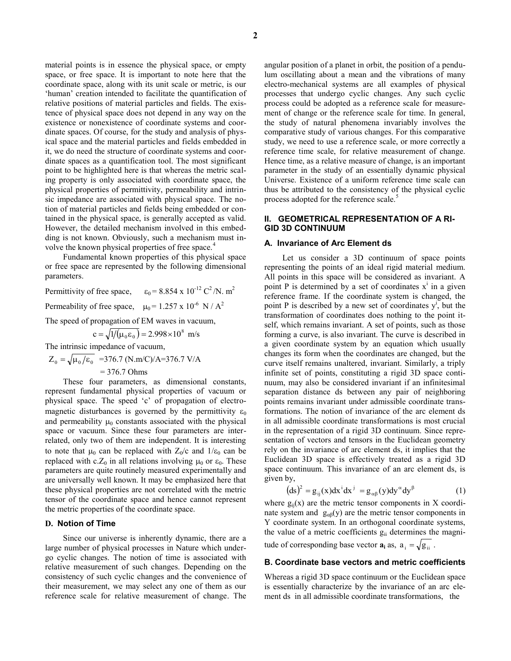material points is in essence the physical space, or empty space, or free space. It is important to note here that the coordinate space, along with its unit scale or metric, is our ‗human' creation intended to facilitate the quantification of relative positions of material particles and fields. The existence of physical space does not depend in any way on the existence or nonexistence of coordinate systems and coordinate spaces. Of course, for the study and analysis of physical space and the material particles and fields embedded in it, we do need the structure of coordinate systems and coordinate spaces as a quantification tool. The most significant point to be highlighted here is that whereas the metric scaling property is only associated with coordinate space, the physical properties of permittivity, permeability and intrinsic impedance are associated with physical space. The notion of material particles and fields being embedded or contained in the physical space, is generally accepted as valid. However, the detailed mechanism involved in this embedding is not known. Obviously, such a mechanism must involve the known physical properties of free space.<sup>4</sup>

Fundamental known properties of this physical space or free space are represented by the following dimensional parameters.

Permittivity of free space,  $\varepsilon_0$  = 8.854 x 10<sup>-12</sup> C<sup>2</sup>/N, m<sup>2</sup>

Permeability of free space,  $\mu_0 = 1.257 \times 10^{-6} \text{ N} / \text{A}^2$ 

The speed of propagation of EM waves in vacuum,

$$
c = \sqrt{1/(\mu_0 \epsilon_0)} = 2.998 \times 10^8 \text{ m/s}
$$

The intrinsic impedance of vacuum,

 $Z_0 = \sqrt{\mu_0/\epsilon_0}$  =376.7 (N.m/C)/A=376.7 V/A

 $= 376.7$  Ohms

These four parameters, as dimensional constants, represent fundamental physical properties of vacuum or physical space. The speed ‗c' of propagation of electromagnetic disturbances is governed by the permittivity  $\varepsilon_0$ and permeability  $\mu_0$  constants associated with the physical space or vacuum. Since these four parameters are interrelated, only two of them are independent. It is interesting to note that  $\mu_0$  can be replaced with  $Z_0/c$  and  $1/\varepsilon_0$  can be replaced with c.Z<sub>0</sub> in all relations involving  $\mu_0$  or  $\varepsilon_0$ . These parameters are quite routinely measured experimentally and are universally well known. It may be emphasized here that these physical properties are not correlated with the metric tensor of the coordinate space and hence cannot represent the metric properties of the coordinate space.

#### **D. Notion of Time**

Since our universe is inherently dynamic, there are a large number of physical processes in Nature which undergo cyclic changes. The notion of time is associated with relative measurement of such changes. Depending on the consistency of such cyclic changes and the convenience of their measurement, we may select any one of them as our reference scale for relative measurement of change. The angular position of a planet in orbit, the position of a pendulum oscillating about a mean and the vibrations of many electro-mechanical systems are all examples of physical processes that undergo cyclic changes. Any such cyclic process could be adopted as a reference scale for measurement of change or the reference scale for time. In general, the study of natural phenomena invariably involves the comparative study of various changes. For this comparative study, we need to use a reference scale, or more correctly a reference time scale, for relative measurement of change. Hence time, as a relative measure of change, is an important parameter in the study of an essentially dynamic physical Universe. Existence of a uniform reference time scale can thus be attributed to the consistency of the physical cyclic process adopted for the reference scale.<sup>5</sup>

### **II. GEOMETRICAL REPRESENTATION OF A RI-GID 3D CONTINUUM**

### **A. Invariance of Arc Element ds**

Let us consider a 3D continuum of space points representing the points of an ideal rigid material medium. All points in this space will be considered as invariant. A point P is determined by a set of coordinates  $x^i$  in a given reference frame. If the coordinate system is changed, the point P is described by a new set of coordinates  $y^i$ , but the transformation of coordinates does nothing to the point itself, which remains invariant. A set of points, such as those forming a curve, is also invariant. The curve is described in a given coordinate system by an equation which usually changes its form when the coordinates are changed, but the curve itself remains unaltered, invariant. Similarly, a triply infinite set of points, constituting a rigid 3D space continuum, may also be considered invariant if an infinitesimal separation distance ds between any pair of neighboring points remains invariant under admissible coordinate transformations. The notion of invariance of the arc element ds in all admissible coordinate transformations is most crucial in the representation of a rigid 3D continuum. Since representation of vectors and tensors in the Euclidean geometry rely on the invariance of arc element ds, it implies that the Euclidean 3D space is effectively treated as a rigid 3D space continuum. This invariance of an arc element ds, is given by,

$$
(\mathrm{d}s)^2 = g_{ij}(x)\mathrm{d}x^i\mathrm{d}x^j = g_{\alpha\beta}(y)\mathrm{d}y^{\alpha}\mathrm{d}y^{\beta} \tag{1}
$$

where  $g_{ii}(x)$  are the metric tensor components in X coordinate system and  $g_{\alpha\beta}(y)$  are the metric tensor components in Y coordinate system. In an orthogonal coordinate systems, the value of a metric coefficients gii determines the magnitude of corresponding base vector  $\mathbf{a}_i$  as,  $\mathbf{a}_i = \sqrt{\mathbf{g}_{ii}}$ .

#### **B. Coordinate base vectors and metric coefficients**

Whereas a rigid 3D space continuum or the Euclidean space is essentially characterize by the invariance of an arc element ds in all admissible coordinate transformations, the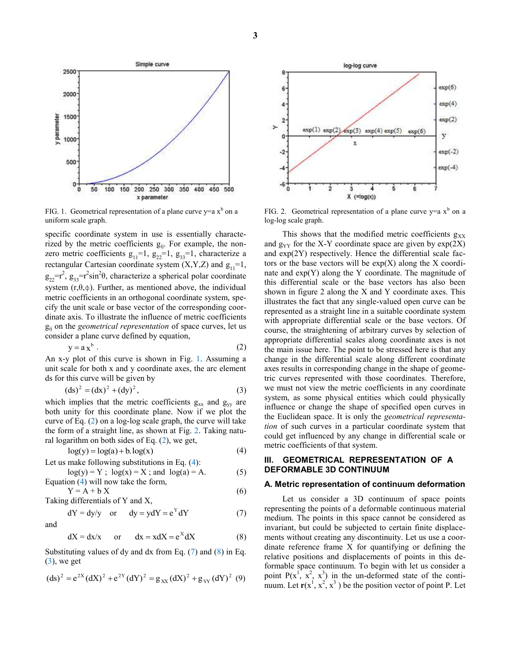

FIG. 1. Geometrical representation of a plane curve  $y=a x<sup>b</sup>$  on a uniform scale graph.

specific coordinate system in use is essentially characterized by the metric coefficients  $g_{ij}$ . For example, the nonzero metric coefficients  $g_{11}$ =1,  $g_{22}$ =1,  $g_{33}$ =1, characterize a rectangular Cartesian coordinate system  $(X, Y, Z)$  and  $g_{11} = 1$ ,  $g_{22} = r^2$ ,  $g_{33} = r^2 \sin^2 \theta$ , characterize a spherical polar coordinate system  $(r, \theta, \phi)$ . Further, as mentioned above, the individual metric coefficients in an orthogonal coordinate system, specify the unit scale or base vector of the corresponding coordinate axis. To illustrate the influence of metric coefficients gij on the *geometrical representation* of space curves, let us consider a plane curve defined by equation,

$$
y = a xb . \t\t(2)
$$

An x-y plot of this curve is shown in Fig. 1. Assuming a unit scale for both x and y coordinate axes, the arc element ds for this curve will be given by

$$
(ds)^{2} = (dx)^{2} + (dy)^{2},
$$
 (3)

which implies that the metric coefficients  $g_{xx}$  and  $g_{yy}$  are both unity for this coordinate plane. Now if we plot the curve of Eq. (2) on a log-log scale graph, the curve will take the form of a straight line, as shown at Fig. 2. Taking natural logarithm on both sides of Eq. (2), we get,

$$
log(y) = log(a) + b \cdot log(x)
$$
 (4)

Let us make following substitutions in Eq. 
$$
(4)
$$
:

$$
log(y) = Y
$$
;  $log(x) = X$ ; and  $log(a) = A$ . (5)

Equation (4) will now take the form,  
\n
$$
Y = A + b X
$$
\n(6)

Taking differentials of Y and X,

$$
dY = dy/y \quad \text{or} \quad dy = ydY = e^{Y} dY \tag{7}
$$

and

$$
dX = dx/x \qquad \text{or} \qquad dx = xdX = e^X dX \tag{8}
$$

Substituting values of dy and dx from Eq. (7) and (8) in Eq.  $(3)$ , we get

$$
(\text{ds})^2 = e^{2X} (\text{d}X)^2 + e^{2Y} (\text{d}Y)^2 = g_{XX} (\text{d}X)^2 + g_{YY} (\text{d}Y)^2 (9)
$$



FIG. 2. Geometrical representation of a plane curve  $y=a x<sup>b</sup>$  on a log-log scale graph.

This shows that the modified metric coefficients  $g_{XX}$ and  $g_{YY}$  for the X-Y coordinate space are given by  $exp(2X)$ and exp(2Y) respectively. Hence the differential scale factors or the base vectors will be  $exp(X)$  along the X coordinate and  $exp(Y)$  along the Y coordinate. The magnitude of this differential scale or the base vectors has also been shown in figure 2 along the X and Y coordinate axes. This illustrates the fact that any single-valued open curve can be represented as a straight line in a suitable coordinate system with appropriate differential scale or the base vectors. Of course, the straightening of arbitrary curves by selection of appropriate differential scales along coordinate axes is not the main issue here. The point to be stressed here is that any change in the differential scale along different coordinate axes results in corresponding change in the shape of geometric curves represented with those coordinates. Therefore, we must not view the metric coefficients in any coordinate system, as some physical entities which could physically influence or change the shape of specified open curves in the Euclidean space. It is only the *geometrical representation* of such curves in a particular coordinate system that could get influenced by any change in differential scale or metric coefficients of that system.

# **III. GEOMETRICAL REPRESENTATION OF A DEFORMABLE 3D CONTINUUM**

#### **A. Metric representation of continuum deformation**

Let us consider a 3D continuum of space points representing the points of a deformable continuous material medium. The points in this space cannot be considered as invariant, but could be subjected to certain finite displacements without creating any discontinuity. Let us use a coordinate reference frame X for quantifying or defining the relative positions and displacements of points in this deformable space continuum. To begin with let us consider a point  $P(x^1, x^2, x^3)$  in the un-deformed state of the continuum. Let  $r(x^1, x^2, x^3)$  be the position vector of point P. Let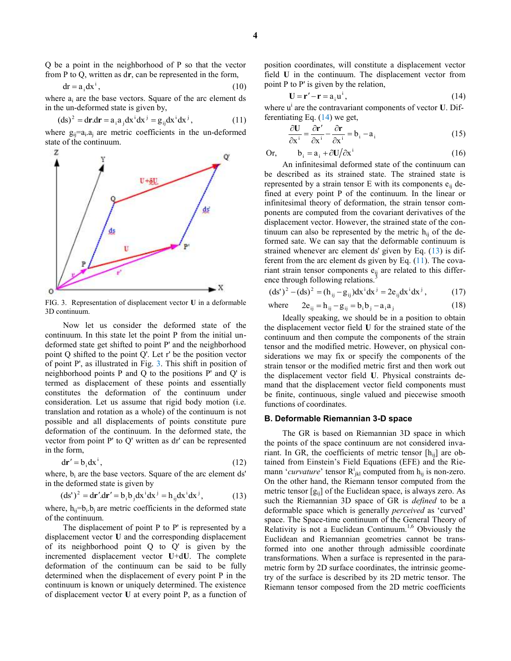Q be a point in the neighborhood of P so that the vector from P to Q, written as d**r**, can be represented in the form,

$$
dr = a_i dx^i, \t\t(10)
$$

where a<sup>i</sup> are the base vectors. Square of the arc element ds in the un-deformed state is given by,

$$
(\text{ds})^2 = \text{dr}.\text{dr} = a_{\text{i}}a_{\text{j}}\text{dx}^{\text{i}}\text{dx}^{\text{j}} = g_{\text{ij}}\text{dx}^{\text{i}}\text{dx}^{\text{j}},\tag{11}
$$

where  $g_{ij} = a_i \cdot a_j$  are metric coefficients in the un-deformed state of the continuum.



FIG. 3. Representation of displacement vector **U** in a deformable 3D continuum.

Now let us consider the deformed state of the continuum. In this state let the point P from the initial undeformed state get shifted to point P' and the neighborhood point Q shifted to the point Q'. Let r' be the position vector of point P', as illustrated in Fig. 3. This shift in position of neighborhood points P and Q to the positions P' and Q' is termed as displacement of these points and essentially constitutes the deformation of the continuum under consideration. Let us assume that rigid body motion (i.e. translation and rotation as a whole) of the continuum is not possible and all displacements of points constitute pure deformation of the continuum. In the deformed state, the vector from point P' to Q' written as dr' can be represented in the form,

$$
dr' = b_i dx^i, \qquad (12)
$$

where,  $b_i$  are the base vectors. Square of the arc element ds' in the deformed state is given by

$$
(\text{ds}')^{2} = \text{dr}' \cdot \text{dr}' = b_{i} b_{j} \text{dx}^{i} \text{dx}^{j} = h_{ij} \text{dx}^{i} \text{dx}^{j}, \qquad (13)
$$

where,  $h_{ij} = b_i \cdot b_j$  are metric coefficients in the deformed state of the continuum.

The displacement of point P to P' is represented by a displacement vector **U** and the corresponding displacement of its neighborhood point Q to Q' is given by the incremented displacement vector **U**+d**U**. The complete deformation of the continuum can be said to be fully determined when the displacement of every point P in the continuum is known or uniquely determined. The existence of displacement vector **U** at every point P, as a function of position coordinates, will constitute a displacement vector field **U** in the continuum. The displacement vector from point P to P' is given by the relation,

$$
\mathbf{U} = \mathbf{r'} - \mathbf{r} = a_i u^i, \tag{14}
$$

where u<sup>i</sup> are the contravariant components of vector **U**. Differentiating Eq.  $(14)$  we get,

$$
\frac{\partial \mathbf{U}}{\partial \mathbf{x}^i} = \frac{\partial \mathbf{r}'}{\partial \mathbf{x}^i} - \frac{\partial \mathbf{r}}{\partial \mathbf{x}^i} = \mathbf{b}_i - \mathbf{a}_i
$$
(15)

Or, 
$$
b_i = a_i + \partial U / \partial x^i
$$
 (16)

An infinitesimal deformed state of the continuum can be described as its strained state. The strained state is represented by a strain tensor E with its components  $e_{ii}$  defined at every point P of the continuum. In the linear or infinitesimal theory of deformation, the strain tensor components are computed from the covariant derivatives of the displacement vector. However, the strained state of the continuum can also be represented by the metric  $h_{ii}$  of the deformed sate. We can say that the deformable continuum is strained whenever arc element ds' given by Eq. (13) is different from the arc element ds given by Eq. (11). The covariant strain tensor components  $e_{ij}$  are related to this difference through following relations.<sup>3</sup>

$$
(\text{ds}')^2 - (\text{ds})^2 = (h_{ij} - g_{ij}) \text{dx}^i \text{dx}^j = 2e_{ij} \text{dx}^i \text{dx}^j, \qquad (17)
$$

where 
$$
2e_{ij} = h_{ij} - g_{ij} = b_i b_j - a_i a_j
$$
 (18)

Ideally speaking, we should be in a position to obtain the displacement vector field **U** for the strained state of the continuum and then compute the components of the strain tensor and the modified metric. However, on physical considerations we may fix or specify the components of the strain tensor or the modified metric first and then work out the displacement vector field **U**. Physical constraints demand that the displacement vector field components must be finite, continuous, single valued and piecewise smooth functions of coordinates.

#### **B. Deformable Riemannian 3-D space**

The GR is based on Riemannian 3D space in which the points of the space continuum are not considered invariant. In GR, the coefficients of metric tensor  $[h_{ii}]$  are obtained from Einstein's Field Equations (EFE) and the Riemann '*curvature*' tensor  $R^i_{jkl}$  computed from  $h_{ij}$  is non-zero. On the other hand, the Riemann tensor computed from the metric tensor [gij] of the Euclidean space, is always zero. As such the Riemannian 3D space of GR is *defined* to be a deformable space which is generally *perceived* as 'curved' space. The Space-time continuum of the General Theory of Relativity is not a Euclidean Continuum.<sup>1,6</sup> Obviously the Euclidean and Riemannian geometries cannot be transformed into one another through admissible coordinate transformations. When a surface is represented in the parametric form by 2D surface coordinates, the intrinsic geometry of the surface is described by its 2D metric tensor. The Riemann tensor composed from the 2D metric coefficients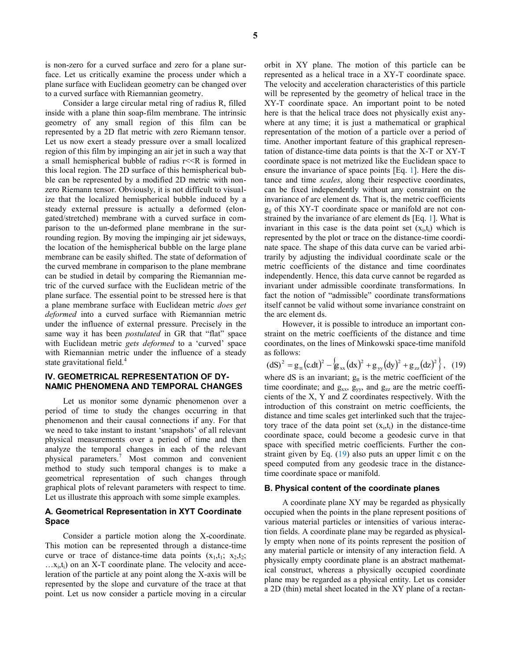is non-zero for a curved surface and zero for a plane surface. Let us critically examine the process under which a plane surface with Euclidean geometry can be changed over to a curved surface with Riemannian geometry.

Consider a large circular metal ring of radius R, filled inside with a plane thin soap-film membrane. The intrinsic geometry of any small region of this film can be represented by a 2D flat metric with zero Riemann tensor. Let us now exert a steady pressure over a small localized region of this film by impinging an air jet in such a way that a small hemispherical bubble of radius r<<R is formed in this local region. The 2D surface of this hemispherical bubble can be represented by a modified 2D metric with nonzero Riemann tensor. Obviously, it is not difficult to visualize that the localized hemispherical bubble induced by a steady external pressure is actually a deformed (elongated/stretched) membrane with a curved surface in comparison to the un-deformed plane membrane in the surrounding region. By moving the impinging air jet sideways, the location of the hemispherical bubble on the large plane membrane can be easily shifted. The state of deformation of the curved membrane in comparison to the plane membrane can be studied in detail by comparing the Riemannian metric of the curved surface with the Euclidean metric of the plane surface. The essential point to be stressed here is that a plane membrane surface with Euclidean metric *does get deformed* into a curved surface with Riemannian metric under the influence of external pressure. Precisely in the same way it has been *postulated* in GR that "flat" space with Euclidean metric *gets deformed* to a 'curved' space with Riemannian metric under the influence of a steady state gravitational field.<sup>4</sup>

## **IV. GEOMETRICAL REPRESENTATION OF DY-NAMIC PHENOMENA AND TEMPORAL CHANGES**

Let us monitor some dynamic phenomenon over a period of time to study the changes occurring in that phenomenon and their causal connections if any. For that we need to take instant to instant 'snapshots' of all relevant physical measurements over a period of time and then analyze the temporal changes in each of the relevant physical parameters.<sup>7</sup> Most common and convenient method to study such temporal changes is to make a geometrical representation of such changes through graphical plots of relevant parameters with respect to time. Let us illustrate this approach with some simple examples.

### **A. Geometrical Representation in XYT Coordinate Space**

Consider a particle motion along the X-coordinate. This motion can be represented through a distance-time curve or trace of distance-time data points  $(x_1,t_1; x_2,t_2;$  $\ldots$ x<sub>i</sub>,t<sub>i</sub>) on an X-T coordinate plane. The velocity and acceleration of the particle at any point along the X-axis will be represented by the slope and curvature of the trace at that point. Let us now consider a particle moving in a circular

orbit in XY plane. The motion of this particle can be represented as a helical trace in a XY-T coordinate space. The velocity and acceleration characteristics of this particle will be represented by the geometry of helical trace in the XY-T coordinate space. An important point to be noted here is that the helical trace does not physically exist anywhere at any time; it is just a mathematical or graphical representation of the motion of a particle over a period of time. Another important feature of this graphical representation of distance-time data points is that the X-T or XY-T coordinate space is not metrized like the Euclidean space to ensure the invariance of space points [Eq. 1]. Here the distance and time *scales*, along their respective coordinates, can be fixed independently without any constraint on the invariance of arc element ds. That is, the metric coefficients gij of this XY-T coordinate space or manifold are not constrained by the invariance of arc element ds [Eq. 1]. What is invariant in this case is the data point set  $(x_i, t_i)$  which is represented by the plot or trace on the distance-time coordinate space. The shape of this data curve can be varied arbitrarily by adjusting the individual coordinate scale or the metric coefficients of the distance and time coordinates independently. Hence, this data curve cannot be regarded as invariant under admissible coordinate transformations. In fact the notion of "admissible" coordinate transformations itself cannot be valid without some invariance constraint on the arc element ds.

However, it is possible to introduce an important constraint on the metric coefficients of the distance and time coordinates, on the lines of Minkowski space-time manifold as follows:

 $(dS)^{2} = g_{tt}(c\,dt)^{2} - g_{xx}(dx)^{2} + g_{yy}(dy)^{2} + g_{zz}(dz)^{2}$ , (19) where  $dS$  is an invariant;  $g_{tt}$  is the metric coefficient of the time coordinate; and  $g_{xx}$ ,  $g_{yy}$ , and  $g_{zz}$  are the metric coefficients of the X, Y and Z coordinates respectively. With the introduction of this constraint on metric coefficients, the distance and time scales get interlinked such that the trajectory trace of the data point set  $(x_i,t_i)$  in the distance-time coordinate space, could become a geodesic curve in that space with specified metric coefficients. Further the constraint given by Eq. (19) also puts an upper limit c on the speed computed from any geodesic trace in the distancetime coordinate space or manifold.

#### **B. Physical content of the coordinate planes**

A coordinate plane XY may be regarded as physically occupied when the points in the plane represent positions of various material particles or intensities of various interaction fields. A coordinate plane may be regarded as physically empty when none of its points represent the position of any material particle or intensity of any interaction field. A physically empty coordinate plane is an abstract mathematical construct, whereas a physically occupied coordinate plane may be regarded as a physical entity. Let us consider a 2D (thin) metal sheet located in the XY plane of a rectan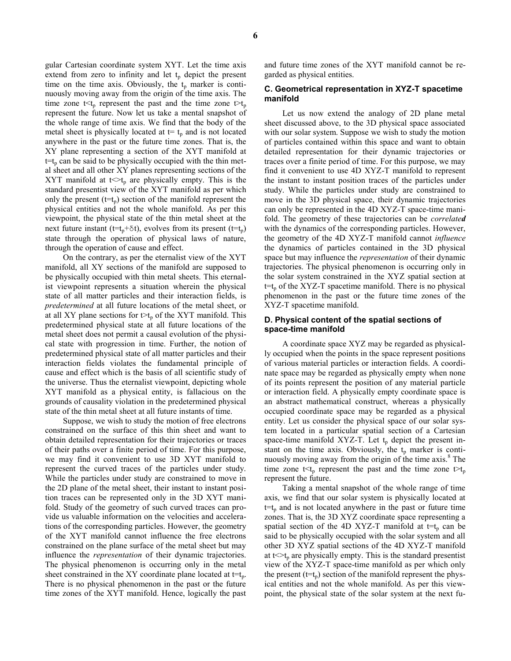gular Cartesian coordinate system XYT. Let the time axis extend from zero to infinity and let  $t<sub>p</sub>$  depict the present time on the time axis. Obviously, the  $t<sub>p</sub>$  marker is continuously moving away from the origin of the time axis. The time zone  $t < t_n$  represent the past and the time zone  $t > t_n$ represent the future. Now let us take a mental snapshot of the whole range of time axis. We find that the body of the metal sheet is physically located at  $t=t_p$  and is not located anywhere in the past or the future time zones. That is, the XY plane representing a section of the XYT manifold at  $t=t<sub>p</sub>$  can be said to be physically occupied with the thin metal sheet and all other XY planes representing sections of the XYT manifold at  $t \leq t_p$  are physically empty. This is the standard presentist view of the XYT manifold as per which only the present ( $t=t_p$ ) section of the manifold represent the physical entities and not the whole manifold. As per this viewpoint, the physical state of the thin metal sheet at the next future instant (t=t<sub>p</sub>+δt), evolves from its present (t=t<sub>p</sub>) state through the operation of physical laws of nature, through the operation of cause and effect.

On the contrary, as per the eternalist view of the XYT manifold, all XY sections of the manifold are supposed to be physically occupied with thin metal sheets. This eternalist viewpoint represents a situation wherein the physical state of all matter particles and their interaction fields, is *predetermined* at all future locations of the metal sheet, or at all XY plane sections for  $t>t_p$  of the XYT manifold. This predetermined physical state at all future locations of the metal sheet does not permit a causal evolution of the physical state with progression in time. Further, the notion of predetermined physical state of all matter particles and their interaction fields violates the fundamental principle of cause and effect which is the basis of all scientific study of the universe. Thus the eternalist viewpoint, depicting whole XYT manifold as a physical entity, is fallacious on the grounds of causality violation in the predetermined physical state of the thin metal sheet at all future instants of time.

Suppose, we wish to study the motion of free electrons constrained on the surface of this thin sheet and want to obtain detailed representation for their trajectories or traces of their paths over a finite period of time. For this purpose, we may find it convenient to use 3D XYT manifold to represent the curved traces of the particles under study. While the particles under study are constrained to move in the 2D plane of the metal sheet, their instant to instant position traces can be represented only in the 3D XYT manifold. Study of the geometry of such curved traces can provide us valuable information on the velocities and accelerations of the corresponding particles. However, the geometry of the XYT manifold cannot influence the free electrons constrained on the plane surface of the metal sheet but may influence the *representation* of their dynamic trajectories. The physical phenomenon is occurring only in the metal sheet constrained in the XY coordinate plane located at  $t=t_p$ . There is no physical phenomenon in the past or the future time zones of the XYT manifold. Hence, logically the past and future time zones of the XYT manifold cannot be regarded as physical entities.

### **C. Geometrical representation in XYZ-T spacetime manifold**

Let us now extend the analogy of 2D plane metal sheet discussed above, to the 3D physical space associated with our solar system. Suppose we wish to study the motion of particles contained within this space and want to obtain detailed representation for their dynamic trajectories or traces over a finite period of time. For this purpose, we may find it convenient to use 4D XYZ-T manifold to represent the instant to instant position traces of the particles under study. While the particles under study are constrained to move in the 3D physical space, their dynamic trajectories can only be represented in the 4D XYZ-T space-time manifold. The geometry of these trajectories can be *correlated* with the dynamics of the corresponding particles. However, the geometry of the 4D XYZ-T manifold cannot *influence* the dynamics of particles contained in the 3D physical space but may influence the *representation* of their dynamic trajectories. The physical phenomenon is occurring only in the solar system constrained in the XYZ spatial section at  $t=t<sub>p</sub>$  of the XYZ-T spacetime manifold. There is no physical phenomenon in the past or the future time zones of the XYZ-T spacetime manifold.

#### **D. Physical content of the spatial sections of space-time manifold**

A coordinate space XYZ may be regarded as physically occupied when the points in the space represent positions of various material particles or interaction fields. A coordinate space may be regarded as physically empty when none of its points represent the position of any material particle or interaction field. A physically empty coordinate space is an abstract mathematical construct, whereas a physically occupied coordinate space may be regarded as a physical entity. Let us consider the physical space of our solar system located in a particular spatial section of a Cartesian space-time manifold XYZ-T. Let  $t_p$  depict the present instant on the time axis. Obviously, the  $t_p$  marker is continuously moving away from the origin of the time axis.<sup>8</sup> The time zone  $t < t_n$  represent the past and the time zone  $t > t_n$ represent the future.

Taking a mental snapshot of the whole range of time axis, we find that our solar system is physically located at  $t=t<sub>p</sub>$  and is not located anywhere in the past or future time zones. That is, the 3D XYZ coordinate space representing a spatial section of the 4D XYZ-T manifold at  $t=t_p$  can be said to be physically occupied with the solar system and all other 3D XYZ spatial sections of the 4D XYZ-T manifold at t $lt$ <sub>b</sub> are physically empty. This is the standard presentist view of the XYZ-T space-time manifold as per which only the present ( $t=t_p$ ) section of the manifold represent the physical entities and not the whole manifold. As per this viewpoint, the physical state of the solar system at the next fu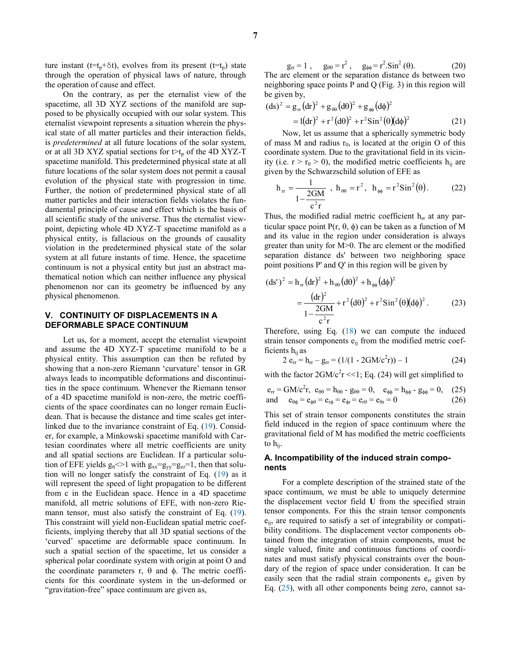ture instant (t=t<sub>n</sub>+δt), evolves from its present (t=t<sub>n</sub>) state through the operation of physical laws of nature, through the operation of cause and effect.

On the contrary, as per the eternalist view of the spacetime, all 3D XYZ sections of the manifold are supposed to be physically occupied with our solar system. This eternalist viewpoint represents a situation wherein the physical state of all matter particles and their interaction fields, is *predetermined* at all future locations of the solar system, or at all 3D XYZ spatial sections for  $t>t_p$  of the 4D XYZ-T spacetime manifold. This predetermined physical state at all future locations of the solar system does not permit a causal evolution of the physical state with progression in time. Further, the notion of predetermined physical state of all matter particles and their interaction fields violates the fundamental principle of cause and effect which is the basis of all scientific study of the universe. Thus the eternalist viewpoint, depicting whole 4D XYZ-T spacetime manifold as a physical entity, is fallacious on the grounds of causality violation in the predetermined physical state of the solar system at all future instants of time. Hence, the spacetime continuum is not a physical entity but just an abstract mathematical notion which can neither influence any physical phenomenon nor can its geometry be influenced by any physical phenomenon.

### **V. CONTINUITY OF DISPLACEMENTS IN A DEFORMABLE SPACE CONTINUUM**

Let us, for a moment, accept the eternalist viewpoint and assume the 4D XYZ-T spacetime manifold to be a physical entity. This assumption can then be refuted by showing that a non-zero Riemann 'curvature' tensor in GR always leads to incompatible deformations and discontinuities in the space continuum. Whenever the Riemann tensor of a 4D spacetime manifold is non-zero, the metric coefficients of the space coordinates can no longer remain Euclidean. That is because the distance and time scales get interlinked due to the invariance constraint of Eq. (19). Consider, for example, a Minkowski spacetime manifold with Cartesian coordinates where all metric coefficients are unity and all spatial sections are Euclidean. If a particular solution of EFE yields  $g_{tt} \leq 1$  with  $g_{xx} = g_{yy} = g_{zz} = 1$ , then that solution will no longer satisfy the constraint of Eq. (19) as it will represent the speed of light propagation to be different from c in the Euclidean space. Hence in a 4D spacetime manifold, all metric solutions of EFE, with non-zero Riemann tensor, must also satisfy the constraint of Eq. (19). This constraint will yield non-Euclidean spatial metric coefficients, implying thereby that all 3D spatial sections of the ‗curved' spacetime are deformable space continuum. In such a spatial section of the spacetime, let us consider a spherical polar coordinate system with origin at point O and the coordinate parameters r,  $\theta$  and  $\phi$ . The metric coefficients for this coordinate system in the un-deformed or "gravitation-free" space continuum are given as,

$$
g_{\theta\theta} = r^2
$$
,  $g_{\phi\phi} = r^2 \cdot \sin^2(\theta)$ . (20)

The arc element or the separation distance ds between two neighboring space points P and Q (Fig. 3) in this region will be given by,

$$
(\text{ds})^2 = g_{rr} (\text{dr})^2 + g_{\theta\theta} (\text{d}\theta)^2 + g_{\phi\phi} (\text{d}\phi)^2
$$
  
=  $1(\text{dr})^2 + r^2 (\text{d}\theta)^2 + r^2 \text{Sin}^2 (\theta) (\text{d}\phi)^2$  (21)

Now, let us assume that a spherically symmetric body of mass M and radius  $r_0$ , is located at the origin O of this coordinate system. Due to the gravitational field in its vicinity (i.e.  $r > r_0 > 0$ ), the modified metric coefficients  $h_{ii}$  are given by the Schwarzschild solution of EFE as

$$
h_{rr} = \frac{1}{1 - \frac{2GM}{c^2r}} , h_{\theta\theta} = r^2, h_{\phi\phi} = r^2 Sin^2(\theta).
$$
 (22)

Thus, the modified radial metric coefficient  $h_{rr}$  at any particular space point  $P(r, \theta, \phi)$  can be taken as a function of M and its value in the region under consideration is always greater than unity for M>0. The arc element or the modified separation distance ds' between two neighboring space point positions P' and Q' in this region will be given by

$$
(\text{ds}')^2 = h_{rr} (\text{dr})^2 + h_{\theta\theta} (\text{d}\theta)^2 + h_{\phi\phi} (\text{d}\phi)^2
$$
  
= 
$$
\frac{(\text{dr})^2}{1 - \frac{2GM}{c^2 r}} + r^2 (\text{d}\theta)^2 + r^2 Sin^2(\theta) (\text{d}\phi)^2.
$$
 (23)

Therefore, using Eq. (18) we can compute the induced strain tensor components  $e_{ii}$  from the modified metric coefficients  $h_{ii}$  as

$$
2 e_{rr} = h_{rr} - g_{rr} = (1/(1 - 2GM/c^2 r)) - 1
$$
 (24)

with the factor  $2GM/c^2r \ll 1$ ; Eq. (24) will get simplified to

$$
e_{rr} = GM/c^2r
$$
,  $e_{\theta\theta} = h_{\theta\theta} - g_{\theta\theta} = 0$ ,  $e_{\phi\phi} = h_{\phi\phi} - g_{\phi\phi} = 0$ , (25)  
and  $e_{\theta\phi} = e_{\phi\theta} = e_{r\phi} = e_{\theta r} = e_{r\theta} = e_{\theta r} = 0$  (26)

This set of strain tensor components constitutes the strain field induced in the region of space continuum where the gravitational field of M has modified the metric coefficients to  $h_{ii}$ .

### **A. Incompatibility of the induced strain components**

For a complete description of the strained state of the space continuum, we must be able to uniquely determine the displacement vector field **U** from the specified strain tensor components. For this the strain tensor components  $e_{ii}$ , are required to satisfy a set of integrability or compatibility conditions. The displacement vector components obtained from the integration of strain components, must be single valued, finite and continuous functions of coordinates and must satisfy physical constraints over the boundary of the region of space under consideration. It can be easily seen that the radial strain components  $e_{rr}$  given by Eq. (25), with all other components being zero, cannot sa-

 $g_{rr} = 1$ ,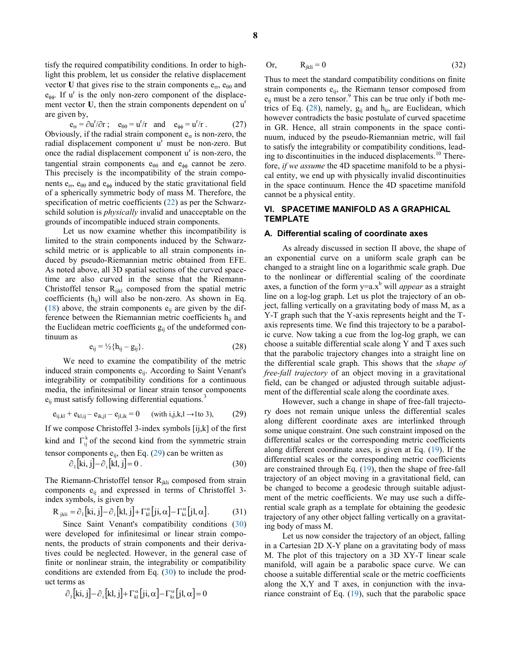tisfy the required compatibility conditions. In order to highlight this problem, let us consider the relative displacement vector **U** that gives rise to the strain components  $e_{rr}$ ,  $e_{\theta\theta}$  and  $e_{\phi\phi}$ . If u<sup>r</sup> is the only non-zero component of the displacement vector **U**, then the strain components dependent on  $u^r$ are given by,

 $e_{rr} = \partial u^{r}/\partial r$ ;  $e_{\theta\theta} = u^{r}/r$  and  $e_{\phi\phi} = u^{r}$  $(27)$ Obviously, if the radial strain component  $e_{rr}$  is non-zero, the radial displacement component  $u<sup>r</sup>$  must be non-zero. But once the radial displacement component  $u<sup>r</sup>$  is non-zero, the tangential strain components  $e_{\theta\theta}$  and  $e_{\phi\phi}$  cannot be zero. This precisely is the incompatibility of the strain components  $e_{rr}$ ,  $e_{\theta\theta}$  and  $e_{\phi\phi}$  induced by the static gravitational field of a spherically symmetric body of mass M. Therefore, the specification of metric coefficients (22) as per the Schwarzschild solution is *physically* invalid and unacceptable on the grounds of incompatible induced strain components.

Let us now examine whether this incompatibility is limited to the strain components induced by the Schwarzschild metric or is applicable to all strain components induced by pseudo-Riemannian metric obtained from EFE. As noted above, all 3D spatial sections of the curved spacetime are also curved in the sense that the Riemann-Christoffel tensor  $R_{ijkl}$  composed from the spatial metric coefficients  $(h_{ij})$  will also be non-zero. As shown in Eq.  $(18)$  above, the strain components  $e_{ii}$  are given by the difference between the Riemannian metric coefficients  $h_{ii}$  and the Euclidean metric coefficients g<sub>ij</sub> of the undeformed continuum as

$$
e_{ij} = \frac{1}{2} \{ h_{ij} - g_{ij} \}.
$$
 (28)

We need to examine the compatibility of the metric induced strain components e<sub>ij</sub>. According to Saint Venant's integrability or compatibility conditions for a continuous media, the infinitesimal or linear strain tensor components  $e_{ii}$  must satisfy following differential equations.<sup>3</sup>

$$
e_{ij,kl} + e_{kl,ij} - e_{ik,jl} - e_{jl,ik} = 0
$$
 (with i,j,k,l  $\rightarrow$ 1to 3), (29)

If we compose Christoffel 3-index symbols [ij,k] of the first kind and  $\Gamma_{\text{ij}}^k$  of the second kind from the symmetric strain tensor components e... then Eq.  $(29)$  can be written as

components 
$$
\varepsilon_{ij}
$$
, then Eq. (29) can be written as  
\n $\partial_1[ki, j] - \partial_i[kl, j] = 0$ . (30)

The Riemann-Christoffel tensor  $R_{ikli}$  composed from strain components e<sub>ij</sub> and expressed in terms of Christoffel 3index symbols, is given by

$$
R_{jkli} = \partial_1[ki, j] - \partial_i[kl, j] + \Gamma_{kl}^{\alpha}[ji, \alpha] - \Gamma_{ki}^{\alpha}[jl, \alpha].
$$
 (31)

Since Saint Venant's compatibility conditions (30) were developed for infinitesimal or linear strain components, the products of strain components and their derivatives could be neglected. However, in the general case of finite or nonlinear strain, the integrability or compatibility conditions are extended from Eq.  $(30)$  to include the product terms as

$$
\partial_1[\mathbf{k}\mathbf{i},\mathbf{j}]-\partial_1[\mathbf{k}\mathbf{l},\mathbf{j}]+\Gamma_{kl}^{\alpha}[\mathbf{j}\mathbf{i},\alpha]-\Gamma_{ki}^{\alpha}[\mathbf{j}\mathbf{l},\alpha]=0
$$

Or, 
$$
R_{jkli} = 0
$$
 (32)

Thus to meet the standard compatibility conditions on finite strain components  $e_{ii}$ , the Riemann tensor composed from  $e_{ii}$  must be a zero tensor.<sup>9</sup> This can be true only if both metrics of Eq. (28), namely,  $g_{ii}$  and  $h_{ii}$ , are Euclidean, which however contradicts the basic postulate of curved spacetime in GR. Hence, all strain components in the space continuum, induced by the pseudo-Riemannian metric, will fail to satisfy the integrability or compatibility conditions, leading to discontinuities in the induced displacements.<sup>10</sup> Therefore, *if we assume* the 4D spacetime manifold to be a physical entity, we end up with physically invalid discontinuities in the space continuum. Hence the 4D spacetime manifold cannot be a physical entity.

### **VI. SPACETIME MANIFOLD AS A GRAPHICAL TEMPLATE**

### **A. Differential scaling of coordinate axes**

As already discussed in section II above, the shape of an exponential curve on a uniform scale graph can be changed to a straight line on a logarithmic scale graph. Due to the nonlinear or differential scaling of the coordinate axes, a function of the form  $y=a.x^b$  will *appear* as a straight line on a log-log graph. Let us plot the trajectory of an object, falling vertically on a gravitating body of mass M, as a Y-T graph such that the Y-axis represents height and the Taxis represents time. We find this trajectory to be a parabolic curve. Now taking a cue from the log-log graph, we can choose a suitable differential scale along Y and T axes such that the parabolic trajectory changes into a straight line on the differential scale graph. This shows that the *shape of free-fall trajectory* of an object moving in a gravitational field, can be changed or adjusted through suitable adjustment of the differential scale along the coordinate axes.

However, such a change in shape of free-fall trajectory does not remain unique unless the differential scales along different coordinate axes are interlinked through some unique constraint. One such constraint imposed on the differential scales or the corresponding metric coefficients along different coordinate axes, is given at Eq. (19). If the differential scales or the corresponding metric coefficients are constrained through Eq. (19), then the shape of free-fall trajectory of an object moving in a gravitational field, can be changed to become a geodesic through suitable adjustment of the metric coefficients. We may use such a differential scale graph as a template for obtaining the geodesic trajectory of any other object falling vertically on a gravitating body of mass M.

Let us now consider the trajectory of an object, falling in a Cartesian 2D X-Y plane on a gravitating body of mass M. The plot of this trajectory on a 3D XY-T linear scale manifold, will again be a parabolic space curve. We can choose a suitable differential scale or the metric coefficients along the X,Y and T axes, in conjunction with the invariance constraint of Eq. (19), such that the parabolic space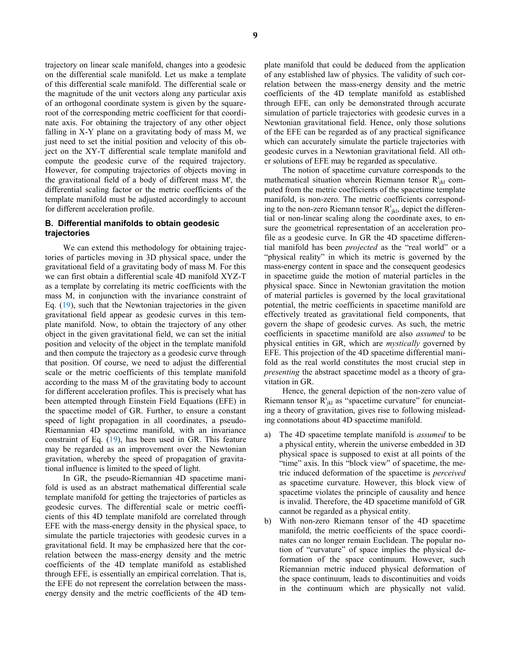trajectory on linear scale manifold, changes into a geodesic on the differential scale manifold. Let us make a template of this differential scale manifold. The differential scale or the magnitude of the unit vectors along any particular axis of an orthogonal coordinate system is given by the squareroot of the corresponding metric coefficient for that coordinate axis. For obtaining the trajectory of any other object falling in X-Y plane on a gravitating body of mass M, we just need to set the initial position and velocity of this object on the XY-T differential scale template manifold and compute the geodesic curve of the required trajectory. However, for computing trajectories of objects moving in the gravitational field of a body of different mass M', the differential scaling factor or the metric coefficients of the template manifold must be adjusted accordingly to account for different acceleration profile.

### **B. Differential manifolds to obtain geodesic trajectories**

We can extend this methodology for obtaining trajectories of particles moving in 3D physical space, under the gravitational field of a gravitating body of mass M. For this we can first obtain a differential scale 4D manifold XYZ-T as a template by correlating its metric coefficients with the mass M, in conjunction with the invariance constraint of Eq. (19), such that the Newtonian trajectories in the given gravitational field appear as geodesic curves in this template manifold. Now, to obtain the trajectory of any other object in the given gravitational field, we can set the initial position and velocity of the object in the template manifold and then compute the trajectory as a geodesic curve through that position. Of course, we need to adjust the differential scale or the metric coefficients of this template manifold according to the mass M of the gravitating body to account for different acceleration profiles. This is precisely what has been attempted through Einstein Field Equations (EFE) in the spacetime model of GR. Further, to ensure a constant speed of light propagation in all coordinates, a pseudo-Riemannian 4D spacetime manifold, with an invariance constraint of Eq. (19), has been used in GR. This feature may be regarded as an improvement over the Newtonian gravitation, whereby the speed of propagation of gravitational influence is limited to the speed of light.

In GR, the pseudo-Riemannian 4D spacetime manifold is used as an abstract mathematical differential scale template manifold for getting the trajectories of particles as geodesic curves. The differential scale or metric coefficients of this 4D template manifold are correlated through EFE with the mass-energy density in the physical space, to simulate the particle trajectories with geodesic curves in a gravitational field. It may be emphasized here that the correlation between the mass-energy density and the metric coefficients of the 4D template manifold as established through EFE, is essentially an empirical correlation. That is, the EFE do not represent the correlation between the massenergy density and the metric coefficients of the 4D template manifold that could be deduced from the application of any established law of physics. The validity of such correlation between the mass-energy density and the metric coefficients of the 4D template manifold as established through EFE, can only be demonstrated through accurate simulation of particle trajectories with geodesic curves in a Newtonian gravitational field. Hence, only those solutions of the EFE can be regarded as of any practical significance which can accurately simulate the particle trajectories with geodesic curves in a Newtonian gravitational field. All other solutions of EFE may be regarded as speculative.

The notion of spacetime curvature corresponds to the mathematical situation wherein Riemann tensor  $R^{i}_{jkl}$  computed from the metric coefficients of the spacetime template manifold, is non-zero. The metric coefficients corresponding to the non-zero Riemann tensor  $R^i_{jkl}$ , depict the differential or non-linear scaling along the coordinate axes, to ensure the geometrical representation of an acceleration profile as a geodesic curve. In GR the 4D spacetime differential manifold has been *projected* as the "real world" or a "physical reality" in which its metric is governed by the mass-energy content in space and the consequent geodesics in spacetime guide the motion of material particles in the physical space. Since in Newtonian gravitation the motion of material particles is governed by the local gravitational potential, the metric coefficients in spacetime manifold are effectively treated as gravitational field components, that govern the shape of geodesic curves. As such, the metric coefficients in spacetime manifold are also *assumed* to be physical entities in GR, which are *mystically* governed by EFE. This projection of the 4D spacetime differential manifold as the real world constitutes the most crucial step in *presenting* the abstract spacetime model as a theory of gravitation in GR.

Hence, the general depiction of the non-zero value of Riemann tensor  $\overline{R}_{ikl}^{i}$  as "spacetime curvature" for enunciating a theory of gravitation, gives rise to following misleading connotations about 4D spacetime manifold.

- a) The 4D spacetime template manifold is *assumed* to be a physical entity, wherein the universe embedded in 3D physical space is supposed to exist at all points of the "time" axis. In this "block view" of spacetime, the metric induced deformation of the spacetime is *perceived* as spacetime curvature. However, this block view of spacetime violates the principle of causality and hence is invalid. Therefore, the 4D spacetime manifold of GR cannot be regarded as a physical entity.
- b) With non-zero Riemann tensor of the 4D spacetime manifold, the metric coefficients of the space coordinates can no longer remain Euclidean. The popular notion of "curvature" of space implies the physical deformation of the space continuum. However, such Riemannian metric induced physical deformation of the space continuum, leads to discontinuities and voids in the continuum which are physically not valid.